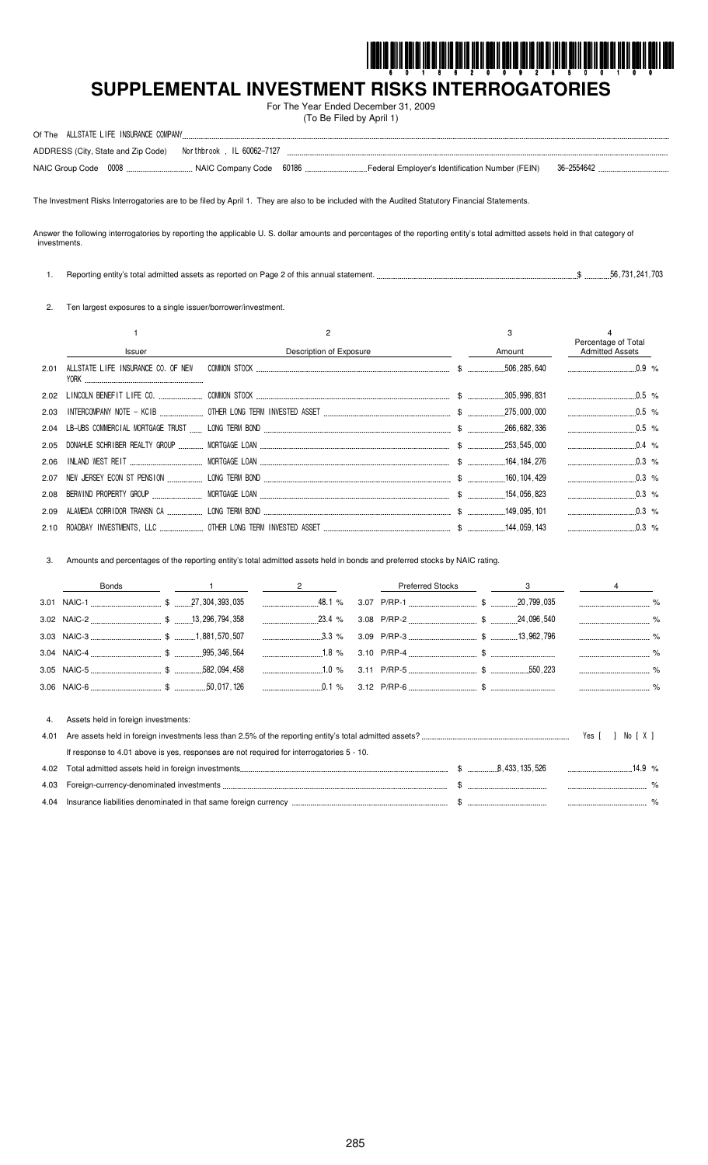

# SUPPLEMENTAL INVESTMENT RISKS INTERROGATORIES

For The Year Ended December 31, 2009 (To Be Filed by April 1)

| Of The | ALLSTATE LIFE INSURANCE COMPANY |                                                                 |                                                   |            |  |
|--------|---------------------------------|-----------------------------------------------------------------|---------------------------------------------------|------------|--|
|        |                                 | ADDRESS (City, State and Zip Code)    Northbrook, IL 60062-7127 |                                                   |            |  |
|        |                                 |                                                                 | ` Federal Employer's Identification Number (FEIN) | 36-2554642 |  |

The Investment Risks Interrogatories are to be filed by April 1. They are also to be included with the Audited Statutory Financial Statements.

Answer the following interrogatories by reporting the applicable U. S. dollar amounts and percentages of the reporting entity's total admitted assets held in that category of investments.

1. Reporting entity's total admitted assets as reported on Page 2 of this annual statement. ...  $\$\$  ... 56, 731, 241, 703

2. Ten largest exposures to a single issuer/borrower/investment.

|      | Issuer                             | Description of Exposure | 3<br>Amount | Percentage of Total<br><b>Admitted Assets</b> |  |
|------|------------------------------------|-------------------------|-------------|-----------------------------------------------|--|
| 2.01 | ALLSTATE LIFE INSURANCE CO. OF NEW |                         |             |                                               |  |
|      |                                    |                         |             |                                               |  |
| 2.03 |                                    |                         |             |                                               |  |
|      |                                    |                         |             |                                               |  |
|      |                                    |                         |             |                                               |  |
|      |                                    |                         |             | $0.3\%$                                       |  |
|      |                                    |                         |             | $0.3\%$                                       |  |
|      |                                    |                         |             | $0.3\%$                                       |  |
| 2.09 |                                    |                         |             | $\ldots$ 0.3 %                                |  |
|      |                                    |                         |             | $\sim$ 0.3 %                                  |  |

Amounts and percentages of the reporting entity's total admitted assets held in bonds and preferred stocks by NAIC rating.  $3.$ 

|            | <b>Bonds</b>                                                                                                                    |  | $\overline{2}$ | <b>Preferred Stocks</b> | 3 |                 |      |
|------------|---------------------------------------------------------------------------------------------------------------------------------|--|----------------|-------------------------|---|-----------------|------|
|            |                                                                                                                                 |  |                |                         |   |                 |      |
|            |                                                                                                                                 |  | $23.4\%$       |                         |   |                 | $\%$ |
|            |                                                                                                                                 |  | $\ldots$ 3.3 % |                         |   |                 |      |
|            |                                                                                                                                 |  | $1.8\%$        |                         |   |                 |      |
|            |                                                                                                                                 |  |                |                         |   |                 |      |
|            |                                                                                                                                 |  |                |                         |   |                 |      |
| 4.<br>4.01 | Assets held in foreign investments:<br>If response to 4.01 above is yes, responses are not required for interrogatories 5 - 10. |  |                |                         |   | Yes I<br>No IXI |      |
| 4.02       |                                                                                                                                 |  |                |                         |   |                 |      |
| 4.03       |                                                                                                                                 |  |                |                         |   |                 |      |
| 4.04       |                                                                                                                                 |  |                |                         |   |                 |      |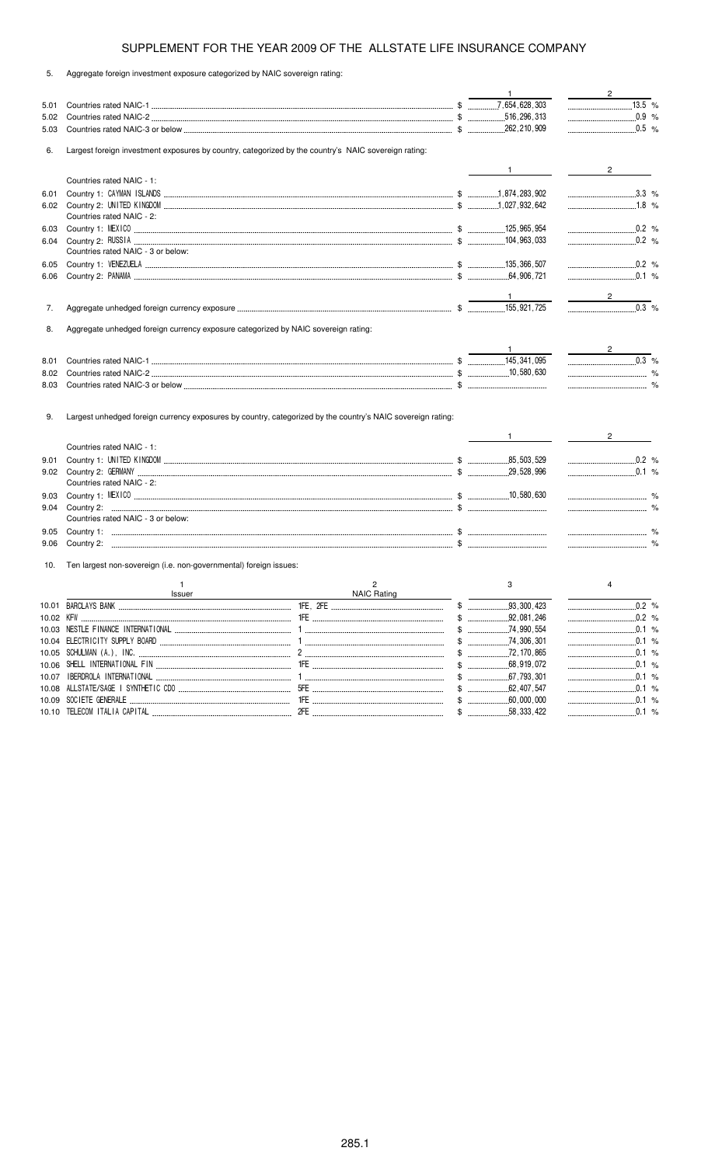5. Aggregate foreign investment exposure categorized by NAIC sovereign rating:

|       |                                                                                    |                                                                                                      | $\mathbf{1}$      | $\frac{2}{\sqrt{2}}$                                                                                                            |
|-------|------------------------------------------------------------------------------------|------------------------------------------------------------------------------------------------------|-------------------|---------------------------------------------------------------------------------------------------------------------------------|
| 5.01  |                                                                                    |                                                                                                      |                   | $\overline{13.5}$ %                                                                                                             |
| 5.02  |                                                                                    |                                                                                                      |                   | $0.9 %$                                                                                                                         |
| 5.03  |                                                                                    |                                                                                                      |                   | $0.5 \frac{9}{6}$                                                                                                               |
| 6.    |                                                                                    | Largest foreign investment exposures by country, categorized by the country's NAIC sovereign rating: |                   |                                                                                                                                 |
|       |                                                                                    |                                                                                                      | $\frac{1}{1}$     | $\overline{2}$                                                                                                                  |
|       | Countries rated NAIC - 1:                                                          |                                                                                                      |                   |                                                                                                                                 |
| 6.01  |                                                                                    |                                                                                                      |                   | $\ldots$ 3.3 %                                                                                                                  |
|       |                                                                                    |                                                                                                      |                   | $\ldots$ 1.8 %                                                                                                                  |
|       | Countries rated NAIC - 2:                                                          |                                                                                                      |                   |                                                                                                                                 |
| 6.03  |                                                                                    |                                                                                                      |                   | $0.2$ %                                                                                                                         |
| 6.04  |                                                                                    |                                                                                                      |                   | $0.2$ %                                                                                                                         |
|       | Countries rated NAIC - 3 or below:                                                 |                                                                                                      |                   |                                                                                                                                 |
| 6.05  |                                                                                    |                                                                                                      |                   | $0.2$ %                                                                                                                         |
| 6.06  |                                                                                    |                                                                                                      |                   | $0.1$ %                                                                                                                         |
|       |                                                                                    |                                                                                                      |                   |                                                                                                                                 |
| 7.    |                                                                                    |                                                                                                      |                   | $0.3$ %                                                                                                                         |
|       |                                                                                    |                                                                                                      |                   |                                                                                                                                 |
| 8.    | Aggregate unhedged foreign currency exposure categorized by NAIC sovereign rating: |                                                                                                      |                   |                                                                                                                                 |
|       |                                                                                    |                                                                                                      |                   | $\frac{2}{\sqrt{2}}$                                                                                                            |
| 8.01  |                                                                                    |                                                                                                      |                   | $\begin{array}{ccc}\n&\text{} & \text{} & \text{} \\ &\text{} & \text{} & \text{} \\ &\text{} & \text{} & \text{}\n\end{array}$ |
| 8.02  |                                                                                    |                                                                                                      |                   |                                                                                                                                 |
| 8.03  |                                                                                    |                                                                                                      |                   |                                                                                                                                 |
|       |                                                                                    |                                                                                                      | $1 \qquad \qquad$ | $\frac{1}{2}$ and $\frac{1}{2}$<br>$2^{\circ}$                                                                                  |
|       | Countries rated NAIC - 1:                                                          |                                                                                                      |                   |                                                                                                                                 |
| 9.01  |                                                                                    |                                                                                                      |                   |                                                                                                                                 |
| 9.02  |                                                                                    |                                                                                                      |                   | $\ldots$ 0.1 %                                                                                                                  |
|       | Countries rated NAIC - 2:                                                          |                                                                                                      |                   |                                                                                                                                 |
| 9.03  |                                                                                    |                                                                                                      |                   |                                                                                                                                 |
| 9.04  |                                                                                    |                                                                                                      |                   |                                                                                                                                 |
|       | Countries rated NAIC - 3 or below:                                                 |                                                                                                      |                   |                                                                                                                                 |
| 9.05  |                                                                                    |                                                                                                      |                   |                                                                                                                                 |
| 9.06  |                                                                                    |                                                                                                      |                   |                                                                                                                                 |
| 10.   | Ten largest non-sovereign (i.e. non-governmental) foreign issues:                  |                                                                                                      |                   |                                                                                                                                 |
|       | $\mathbf{1}$<br><b>Issuer</b>                                                      | 2<br><b>NAIC Rating</b>                                                                              | 3                 | 4                                                                                                                               |
|       | 10.01 BARCLAYS BANK                                                                | 1FE .2FE                                                                                             | \$<br>93.300.423  | 0.2 %                                                                                                                           |
|       |                                                                                    |                                                                                                      |                   |                                                                                                                                 |
|       |                                                                                    |                                                                                                      | $$$ 74,990,554    | $\ldots$ 0.1 %                                                                                                                  |
|       |                                                                                    |                                                                                                      |                   | 0.1 %                                                                                                                           |
|       |                                                                                    |                                                                                                      |                   |                                                                                                                                 |
|       |                                                                                    |                                                                                                      |                   |                                                                                                                                 |
| 10.07 |                                                                                    |                                                                                                      |                   |                                                                                                                                 |
|       |                                                                                    |                                                                                                      |                   | 0.1 %                                                                                                                           |
|       |                                                                                    |                                                                                                      |                   |                                                                                                                                 |
|       |                                                                                    |                                                                                                      |                   |                                                                                                                                 |
|       |                                                                                    |                                                                                                      |                   |                                                                                                                                 |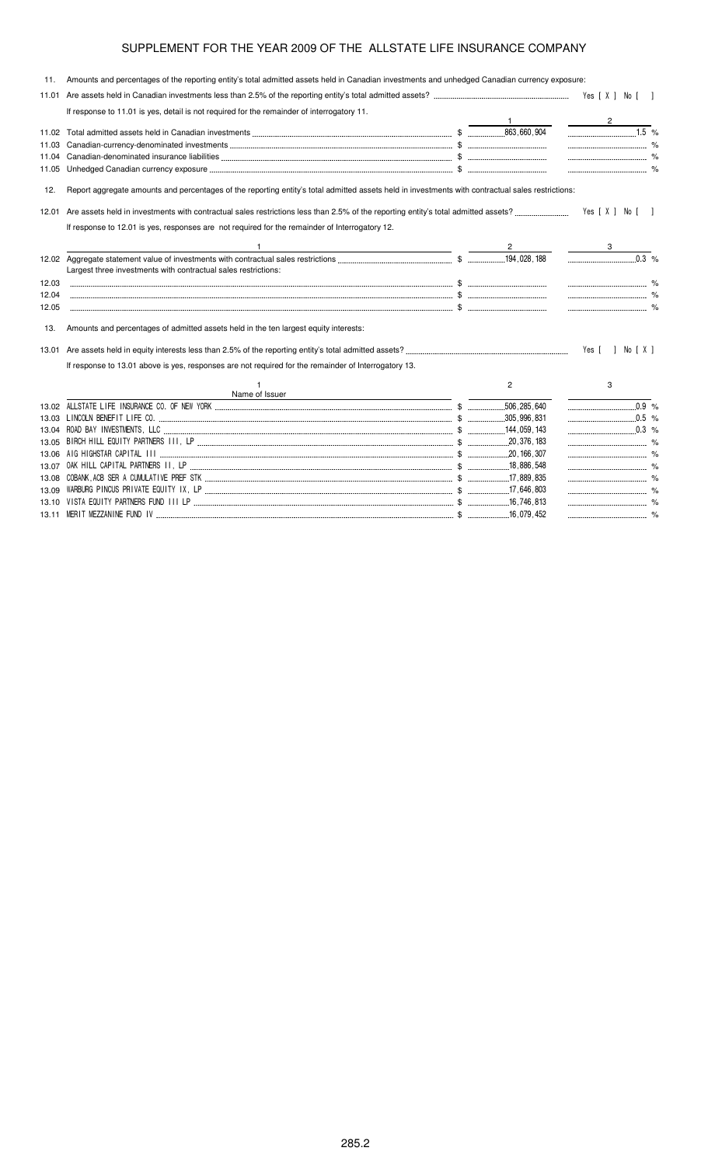11. Amounts and percentages of the reporting entity's total admitted assets held in Canadian investments and unhedged Canadian currency exposure: 11.01 Are assets held in Canadian investments less than 2.5% of the reporting entity's total admitted assets? -Wes [X ] No [] If response to 11.01 is yes, detail is not required for the remainder of interrogatory 11. 1 2 11.02 Total admitted assets held in Canadian investments \$  % 11.03 Canadian-currency-denominated investments \$ % 11.04 Canadian-denominated insurance liabilities \$ % 11.05 Unhedged Canadian currency exposure \$ % 12. Report aggregate amounts and percentages of the reporting entity's total admitted assets held in investments with contractual sales restrictions: 12.01 Are assets held in investments with contractual sales restrictions less than 2.5% of the reporting entity's total admitted assets? .....  $.$  Yes  $[X]$  No  $[$  ] If response to 12.01 is yes, responses are not required for the remainder of Interrogatory 12. 1  $\overline{2}$  3 12.02 Aggregate statement value of investments with contractual sales restrictions \$ , 188  $0.3\%$ Largest three investments with contractual sales restrictions: 12.03 \$ % 12.04 \$ % 12.05 \$ % 13. Amounts and percentages of admitted assets held in the ten largest equity interests: 13.01 Are assets held in equity interests less than 2.5% of the reporting entity's total admitted assets? - If response to 13.01 above is yes, responses are not required for the remainder of Interrogatory 13. 1 Name of Issuer 2 3 13.02 ! \$  $0.9 \%$ 13.03 " \$   $0.5%$ 13.04 # " \$% \$   % 13.05 "& & ' ( ( \$ )  % 13.06 \* &\*& ( \$ ) % 13.07 OAK HILL CAPITAL PARTNERS II, LP ,886,548 % 13.08 "!
" %\$ ( ! \$ )  $89, 8$  %

13.10 \$ ' ( # ( \$ )

13.11 % %++ # \$ \$ ) %

 %

.....<sup>%</sup>

13.09 "\* ( (\$ ' ( \$ )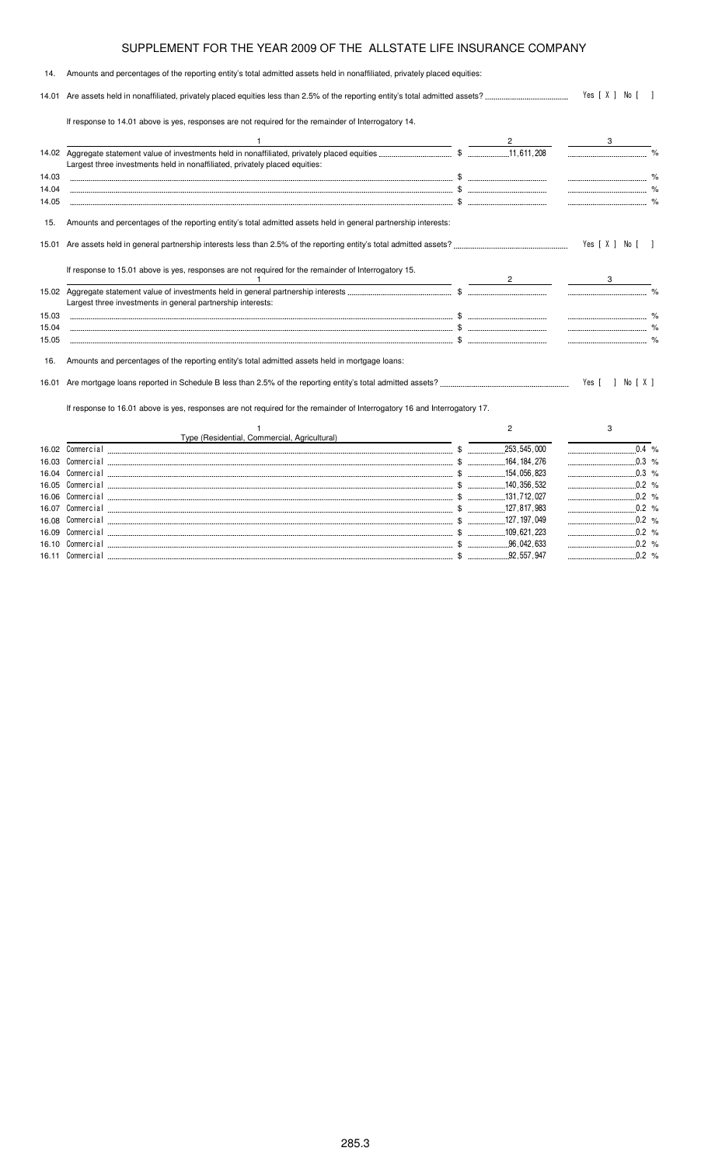| 14.   | Amounts and percentages of the reporting entity's total admitted assets held in nonaffiliated, privately placed equities: |  |                  |                     |  |
|-------|---------------------------------------------------------------------------------------------------------------------------|--|------------------|---------------------|--|
| 14.01 |                                                                                                                           |  | Yes [ X ] No [ ] |                     |  |
|       | If response to 14.01 above is yes, responses are not required for the remainder of Interrogatory 14.                      |  |                  |                     |  |
|       |                                                                                                                           |  |                  |                     |  |
|       | Largest three investments held in nonaffiliated, privately placed equities:                                               |  |                  |                     |  |
| 14.03 |                                                                                                                           |  |                  |                     |  |
| 14.04 |                                                                                                                           |  |                  |                     |  |
| 14.05 |                                                                                                                           |  |                  |                     |  |
| 15.   | Amounts and percentages of the reporting entity's total admitted assets held in general partnership interests:            |  |                  |                     |  |
|       |                                                                                                                           |  |                  | Yes [ X ] No [ ]    |  |
|       | If response to 15.01 above is yes, responses are not required for the remainder of Interrogatory 15.                      |  |                  |                     |  |
|       | Largest three investments in general partnership interests:                                                               |  |                  |                     |  |
| 15.03 |                                                                                                                           |  |                  |                     |  |
| 15.04 |                                                                                                                           |  |                  |                     |  |
| 15.05 |                                                                                                                           |  |                  |                     |  |
| 16.   | Amounts and percentages of the reporting entity's total admitted assets held in mortgage loans:                           |  |                  |                     |  |
|       |                                                                                                                           |  |                  | Yes [<br>1 No [ X ] |  |
|       | If response to 16.01 above is yes, responses are not required for the remainder of Interrogatory 16 and Interrogatory 17. |  |                  |                     |  |
|       |                                                                                                                           |  | $\overline{2}$   | 3                   |  |
|       | Type (Residential, Commercial, Agricultural)                                                                              |  |                  |                     |  |
| 16.02 |                                                                                                                           |  |                  | $0.4 %$             |  |
| 16.03 |                                                                                                                           |  |                  |                     |  |
|       |                                                                                                                           |  |                  | $\ldots$ 0.3 %      |  |

|  |  |             | U.S. %   |
|--|--|-------------|----------|
|  |  | 140 356 532 | 0.2 %    |
|  |  |             | $0.2 \%$ |
|  |  |             | 0.2 %    |
|  |  |             | 0.2 %    |
|  |  | 109 621 223 | 0.2 %    |
|  |  | 96 042 633  | 0.2 %    |
|  |  | 92 557 947  | $0.2 \%$ |
|  |  |             |          |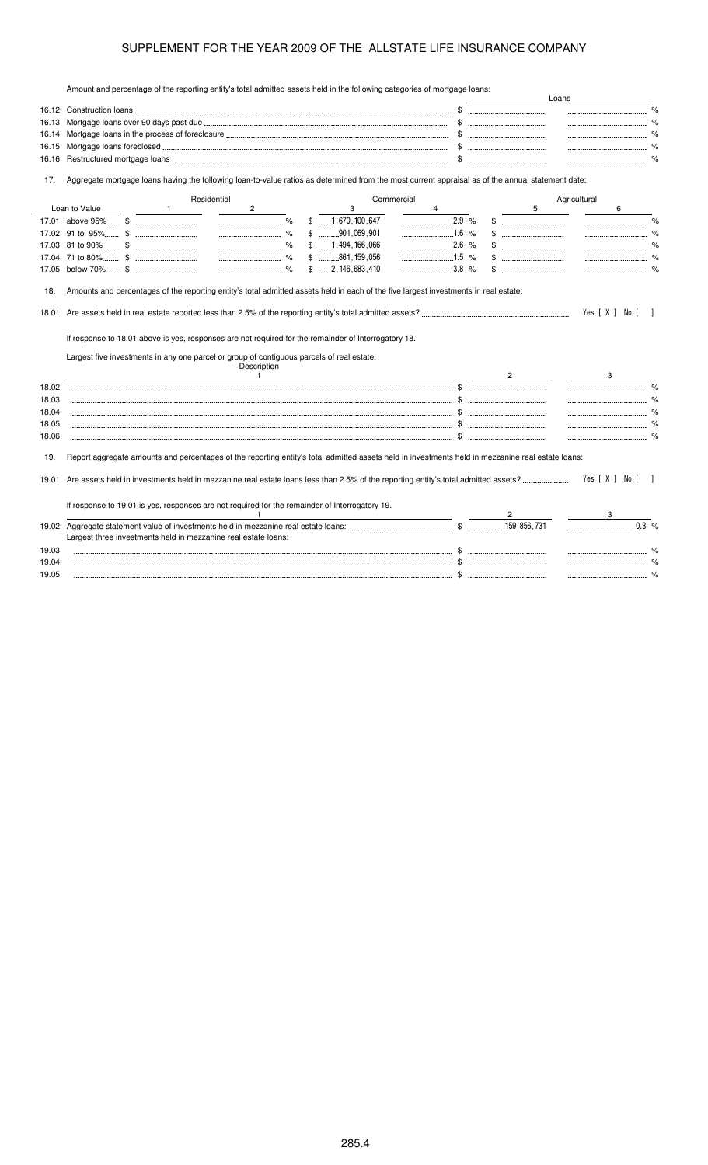Amount and percentage of the reporting entity's total admitted assets held in the following categories of mortgage loans:

|       | Amount and percentage of the reporting emity's total admitted assets held in the following categories of mongage loans.                           |                                       |              | Loans                                 |
|-------|---------------------------------------------------------------------------------------------------------------------------------------------------|---------------------------------------|--------------|---------------------------------------|
|       |                                                                                                                                                   |                                       |              |                                       |
| 16.13 |                                                                                                                                                   |                                       |              |                                       |
| 16.14 |                                                                                                                                                   |                                       |              |                                       |
| 16.15 |                                                                                                                                                   |                                       |              |                                       |
| 16.16 |                                                                                                                                                   |                                       |              |                                       |
| 17.   | Aggregate mortgage loans having the following loan-to-value ratios as determined from the most current appraisal as of the annual statement date: |                                       |              |                                       |
|       | Residential                                                                                                                                       | Commercial                            |              | Agricultural                          |
|       | Loan to Value<br>$\mathbf{1}$<br>$\overline{c}$                                                                                                   | 3                                     | 5            | 6                                     |
|       |                                                                                                                                                   | $$$ 1,670,100,647<br>2.9%             |              | $\%$<br>----------------------------- |
|       |                                                                                                                                                   | $$$ 901,069,901<br>$1.6\%$            |              |                                       |
|       |                                                                                                                                                   | $$$ 1, 494, 166, 066                  |              |                                       |
|       |                                                                                                                                                   | $$$ 861, 159, 056                     |              |                                       |
|       |                                                                                                                                                   | $$ \dots 2, 146, 683, 410$<br>$3.8\%$ |              |                                       |
| 18.   | Amounts and percentages of the reporting entity's total admitted assets held in each of the five largest investments in real estate:              |                                       |              |                                       |
|       |                                                                                                                                                   |                                       |              |                                       |
|       |                                                                                                                                                   |                                       |              | Yes [ X ] No [ ]                      |
|       | If response to 18.01 above is yes, responses are not required for the remainder of Interrogatory 18.                                              |                                       |              |                                       |
|       | Largest five investments in any one parcel or group of contiguous parcels of real estate.                                                         |                                       |              |                                       |
|       | Description                                                                                                                                       |                                       |              |                                       |
|       | $\overline{1}$                                                                                                                                    |                                       | $\mathbf{2}$ | 3                                     |
| 18.02 |                                                                                                                                                   |                                       |              | $\%$                                  |
| 18.03 |                                                                                                                                                   |                                       |              |                                       |
| 18.04 |                                                                                                                                                   |                                       |              |                                       |
| 18.05 |                                                                                                                                                   |                                       |              |                                       |
| 18.06 |                                                                                                                                                   |                                       |              |                                       |
| 19.   | Report aggregate amounts and percentages of the reporting entity's total admitted assets held in investments held in mezzanine real estate loans: |                                       |              |                                       |
| 19.01 |                                                                                                                                                   |                                       |              | Yes [ X ] No [                        |
|       |                                                                                                                                                   |                                       |              |                                       |
|       | If response to 19.01 is yes, responses are not required for the remainder of Interrogatory 19.                                                    |                                       |              |                                       |
|       |                                                                                                                                                   |                                       |              | $0.3\%$                               |
|       | Largest three investments held in mezzanine real estate loans:                                                                                    |                                       |              |                                       |
| 19.03 |                                                                                                                                                   |                                       |              |                                       |
| 19.04 |                                                                                                                                                   |                                       |              |                                       |
| 19.05 |                                                                                                                                                   |                                       |              | %                                     |